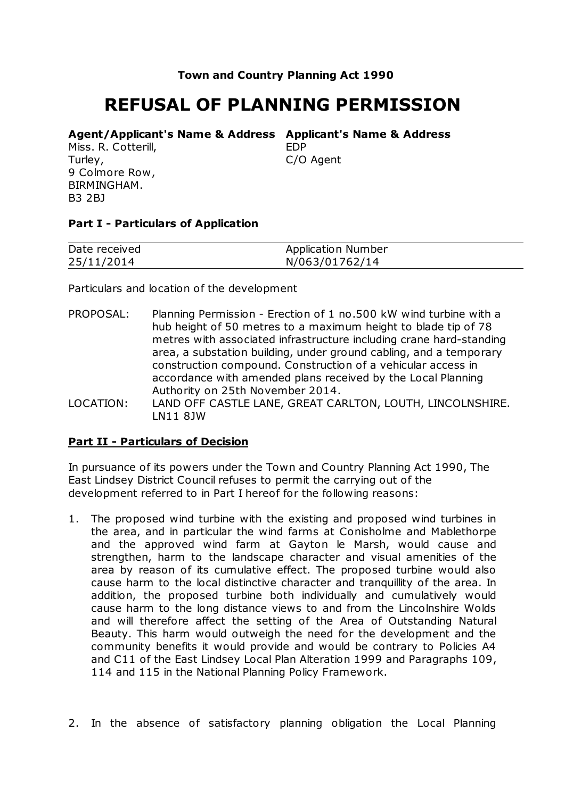## **Town and Country Planning Act 1990**

# **REFUSAL OF PLANNING PERMISSION**

#### **Agent/Applicant's Name & Address Applicant's Name & Address**

Miss. R. Cotterill, Turley, 9 Colmore Row, BIRMINGHAM. B3 2BJ

EDP

C/O Agent

## **Part I - Particulars of Application**

| Date received | Application Number |
|---------------|--------------------|
| 25/11/2014    | N/063/01762/14     |

Particulars and location of the development

- PROPOSAL: Planning Permission Erection of 1 no.500 kW wind turbine with a hub height of 50 metres to a maximum height to blade tip of 78 metres with associated infrastructure including crane hard-standing area, a substation building, under ground cabling, and a temporary construction compound. Construction of a vehicular access in accordance with amended plans received by the Local Planning Authority on 25th November 2014.
- LOCATION: LAND OFF CASTLE LANE, GREAT CARLTON, LOUTH, LINCOLNSHIRE. LN11 8JW

## **Part II - Particulars of Decision**

In pursuance of its powers under the Town and Country Planning Act 1990, The East Lindsey District Council refuses to permit the carrying out of the development referred to in Part I hereof for the following reasons:

- 1. The proposed wind turbine with the existing and proposed wind turbines in the area, and in particular the wind farms at Conisholme and Mablethorpe and the approved wind farm at Gayton le Marsh, would cause and strengthen, harm to the landscape character and visual amenities of the area by reason of its cumulative effect. The proposed turbine would also cause harm to the local distinctive character and tranquillity of the area. In addition, the proposed turbine both individually and cumulatively would cause harm to the long distance views to and from the Lincolnshire Wolds and will therefore affect the setting of the Area of Outstanding Natural Beauty. This harm would outweigh the need for the development and the community benefits it would provide and would be contrary to Policies A4 and C11 of the East Lindsey Local Plan Alteration 1999 and Paragraphs 109, 114 and 115 in the National Planning Policy Framework.
- 2. In the absence of satisfactory planning obligation the Local Planning